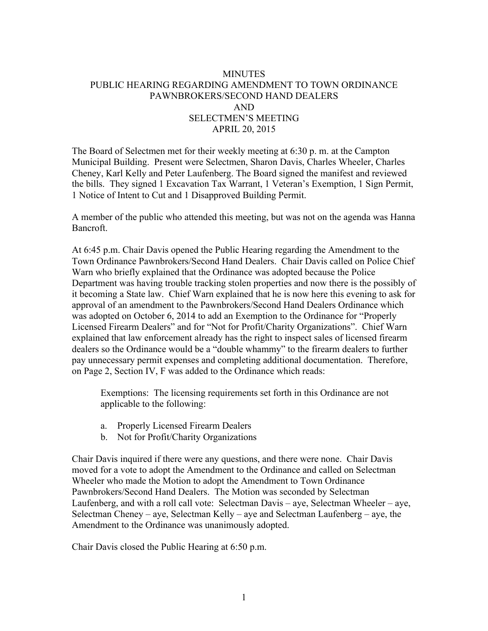## **MINUTES** PUBLIC HEARING REGARDING AMENDMENT TO TOWN ORDINANCE PAWNBROKERS/SECOND HAND DEALERS AND SELECTMEN'S MEETING APRIL 20, 2015

The Board of Selectmen met for their weekly meeting at 6:30 p. m. at the Campton Municipal Building. Present were Selectmen, Sharon Davis, Charles Wheeler, Charles Cheney, Karl Kelly and Peter Laufenberg. The Board signed the manifest and reviewed the bills. They signed 1 Excavation Tax Warrant, 1 Veteran's Exemption, 1 Sign Permit, 1 Notice of Intent to Cut and 1 Disapproved Building Permit.

A member of the public who attended this meeting, but was not on the agenda was Hanna Bancroft.

At 6:45 p.m. Chair Davis opened the Public Hearing regarding the Amendment to the Town Ordinance Pawnbrokers/Second Hand Dealers. Chair Davis called on Police Chief Warn who briefly explained that the Ordinance was adopted because the Police Department was having trouble tracking stolen properties and now there is the possibly of it becoming a State law. Chief Warn explained that he is now here this evening to ask for approval of an amendment to the Pawnbrokers/Second Hand Dealers Ordinance which was adopted on October 6, 2014 to add an Exemption to the Ordinance for "Properly Licensed Firearm Dealers" and for "Not for Profit/Charity Organizations". Chief Warn explained that law enforcement already has the right to inspect sales of licensed firearm dealers so the Ordinance would be a "double whammy" to the firearm dealers to further pay unnecessary permit expenses and completing additional documentation. Therefore, on Page 2, Section IV, F was added to the Ordinance which reads:

Exemptions: The licensing requirements set forth in this Ordinance are not applicable to the following:

- a. Properly Licensed Firearm Dealers
- b. Not for Profit/Charity Organizations

Chair Davis inquired if there were any questions, and there were none. Chair Davis moved for a vote to adopt the Amendment to the Ordinance and called on Selectman Wheeler who made the Motion to adopt the Amendment to Town Ordinance Pawnbrokers/Second Hand Dealers. The Motion was seconded by Selectman Laufenberg, and with a roll call vote: Selectman Davis – aye, Selectman Wheeler – aye, Selectman Cheney – aye, Selectman Kelly – aye and Selectman Laufenberg – aye, the Amendment to the Ordinance was unanimously adopted.

Chair Davis closed the Public Hearing at 6:50 p.m.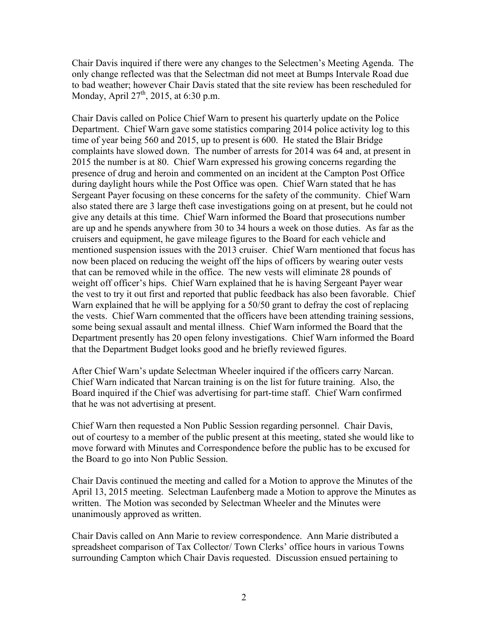Chair Davis inquired if there were any changes to the Selectmen's Meeting Agenda. The only change reflected was that the Selectman did not meet at Bumps Intervale Road due to bad weather; however Chair Davis stated that the site review has been rescheduled for Monday, April  $27^{th}$ , 2015, at 6:30 p.m.

Chair Davis called on Police Chief Warn to present his quarterly update on the Police Department. Chief Warn gave some statistics comparing 2014 police activity log to this time of year being 560 and 2015, up to present is 600. He stated the Blair Bridge complaints have slowed down. The number of arrests for 2014 was 64 and, at present in 2015 the number is at 80. Chief Warn expressed his growing concerns regarding the presence of drug and heroin and commented on an incident at the Campton Post Office during daylight hours while the Post Office was open. Chief Warn stated that he has Sergeant Payer focusing on these concerns for the safety of the community. Chief Warn also stated there are 3 large theft case investigations going on at present, but he could not give any details at this time. Chief Warn informed the Board that prosecutions number are up and he spends anywhere from 30 to 34 hours a week on those duties. As far as the cruisers and equipment, he gave mileage figures to the Board for each vehicle and mentioned suspension issues with the 2013 cruiser. Chief Warn mentioned that focus has now been placed on reducing the weight off the hips of officers by wearing outer vests that can be removed while in the office. The new vests will eliminate 28 pounds of weight off officer's hips. Chief Warn explained that he is having Sergeant Payer wear the vest to try it out first and reported that public feedback has also been favorable. Chief Warn explained that he will be applying for a 50/50 grant to defray the cost of replacing the vests. Chief Warn commented that the officers have been attending training sessions, some being sexual assault and mental illness. Chief Warn informed the Board that the Department presently has 20 open felony investigations. Chief Warn informed the Board that the Department Budget looks good and he briefly reviewed figures.

After Chief Warn's update Selectman Wheeler inquired if the officers carry Narcan. Chief Warn indicated that Narcan training is on the list for future training. Also, the Board inquired if the Chief was advertising for part-time staff. Chief Warn confirmed that he was not advertising at present.

Chief Warn then requested a Non Public Session regarding personnel. Chair Davis, out of courtesy to a member of the public present at this meeting, stated she would like to move forward with Minutes and Correspondence before the public has to be excused for the Board to go into Non Public Session.

Chair Davis continued the meeting and called for a Motion to approve the Minutes of the April 13, 2015 meeting. Selectman Laufenberg made a Motion to approve the Minutes as written. The Motion was seconded by Selectman Wheeler and the Minutes were unanimously approved as written.

Chair Davis called on Ann Marie to review correspondence. Ann Marie distributed a spreadsheet comparison of Tax Collector/ Town Clerks' office hours in various Towns surrounding Campton which Chair Davis requested. Discussion ensued pertaining to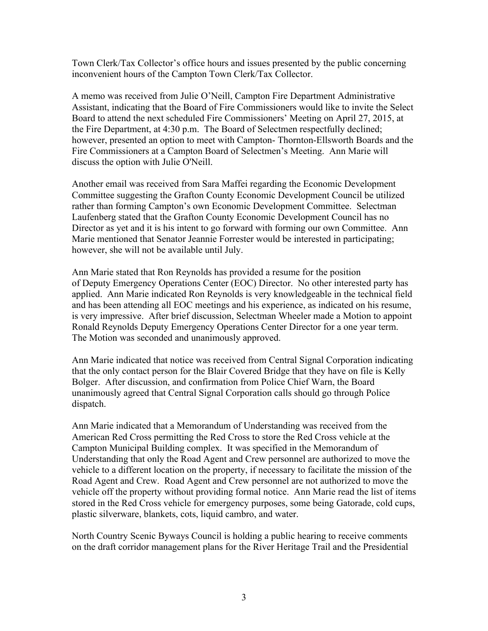Town Clerk/Tax Collector's office hours and issues presented by the public concerning inconvenient hours of the Campton Town Clerk/Tax Collector.

A memo was received from Julie O'Neill, Campton Fire Department Administrative Assistant, indicating that the Board of Fire Commissioners would like to invite the Select Board to attend the next scheduled Fire Commissioners' Meeting on April 27, 2015, at the Fire Department, at 4:30 p.m. The Board of Selectmen respectfully declined; however, presented an option to meet with Campton- Thornton-Ellsworth Boards and the Fire Commissioners at a Campton Board of Selectmen's Meeting. Ann Marie will discuss the option with Julie O'Neill.

Another email was received from Sara Maffei regarding the Economic Development Committee suggesting the Grafton County Economic Development Council be utilized rather than forming Campton's own Economic Development Committee. Selectman Laufenberg stated that the Grafton County Economic Development Council has no Director as yet and it is his intent to go forward with forming our own Committee. Ann Marie mentioned that Senator Jeannie Forrester would be interested in participating; however, she will not be available until July.

Ann Marie stated that Ron Reynolds has provided a resume for the position of Deputy Emergency Operations Center (EOC) Director. No other interested party has applied. Ann Marie indicated Ron Reynolds is very knowledgeable in the technical field and has been attending all EOC meetings and his experience, as indicated on his resume, is very impressive. After brief discussion, Selectman Wheeler made a Motion to appoint Ronald Reynolds Deputy Emergency Operations Center Director for a one year term. The Motion was seconded and unanimously approved.

Ann Marie indicated that notice was received from Central Signal Corporation indicating that the only contact person for the Blair Covered Bridge that they have on file is Kelly Bolger. After discussion, and confirmation from Police Chief Warn, the Board unanimously agreed that Central Signal Corporation calls should go through Police dispatch.

Ann Marie indicated that a Memorandum of Understanding was received from the American Red Cross permitting the Red Cross to store the Red Cross vehicle at the Campton Municipal Building complex. It was specified in the Memorandum of Understanding that only the Road Agent and Crew personnel are authorized to move the vehicle to a different location on the property, if necessary to facilitate the mission of the Road Agent and Crew. Road Agent and Crew personnel are not authorized to move the vehicle off the property without providing formal notice. Ann Marie read the list of items stored in the Red Cross vehicle for emergency purposes, some being Gatorade, cold cups, plastic silverware, blankets, cots, liquid cambro, and water.

North Country Scenic Byways Council is holding a public hearing to receive comments on the draft corridor management plans for the River Heritage Trail and the Presidential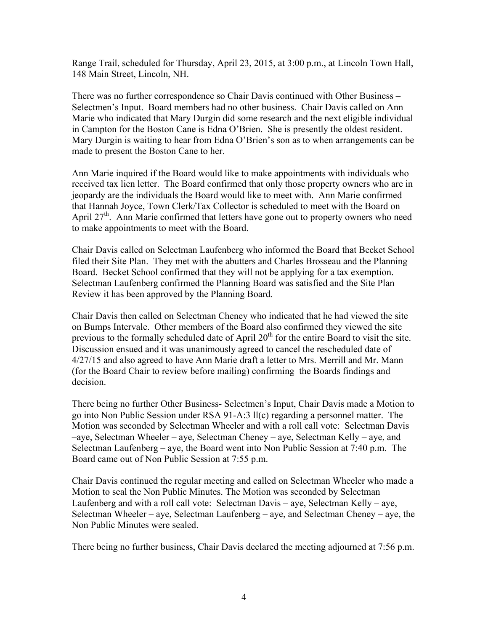Range Trail, scheduled for Thursday, April 23, 2015, at 3:00 p.m., at Lincoln Town Hall, 148 Main Street, Lincoln, NH.

There was no further correspondence so Chair Davis continued with Other Business – Selectmen's Input. Board members had no other business. Chair Davis called on Ann Marie who indicated that Mary Durgin did some research and the next eligible individual in Campton for the Boston Cane is Edna O'Brien. She is presently the oldest resident. Mary Durgin is waiting to hear from Edna O'Brien's son as to when arrangements can be made to present the Boston Cane to her.

Ann Marie inquired if the Board would like to make appointments with individuals who received tax lien letter. The Board confirmed that only those property owners who are in jeopardy are the individuals the Board would like to meet with. Ann Marie confirmed that Hannah Joyce, Town Clerk/Tax Collector is scheduled to meet with the Board on April 27<sup>th</sup>. Ann Marie confirmed that letters have gone out to property owners who need to make appointments to meet with the Board.

Chair Davis called on Selectman Laufenberg who informed the Board that Becket School filed their Site Plan. They met with the abutters and Charles Brosseau and the Planning Board. Becket School confirmed that they will not be applying for a tax exemption. Selectman Laufenberg confirmed the Planning Board was satisfied and the Site Plan Review it has been approved by the Planning Board.

Chair Davis then called on Selectman Cheney who indicated that he had viewed the site on Bumps Intervale. Other members of the Board also confirmed they viewed the site previous to the formally scheduled date of April 20<sup>th</sup> for the entire Board to visit the site. Discussion ensued and it was unanimously agreed to cancel the rescheduled date of 4/27/15 and also agreed to have Ann Marie draft a letter to Mrs. Merrill and Mr. Mann (for the Board Chair to review before mailing) confirming the Boards findings and decision.

There being no further Other Business- Selectmen's Input, Chair Davis made a Motion to go into Non Public Session under RSA 91-A:3 ll(c) regarding a personnel matter. The Motion was seconded by Selectman Wheeler and with a roll call vote: Selectman Davis –aye, Selectman Wheeler – aye, Selectman Cheney – aye, Selectman Kelly – aye, and Selectman Laufenberg – aye, the Board went into Non Public Session at 7:40 p.m. The Board came out of Non Public Session at 7:55 p.m.

Chair Davis continued the regular meeting and called on Selectman Wheeler who made a Motion to seal the Non Public Minutes. The Motion was seconded by Selectman Laufenberg and with a roll call vote: Selectman Davis – aye, Selectman Kelly – aye, Selectman Wheeler – aye, Selectman Laufenberg – aye, and Selectman Cheney – aye, the Non Public Minutes were sealed.

There being no further business, Chair Davis declared the meeting adjourned at 7:56 p.m.